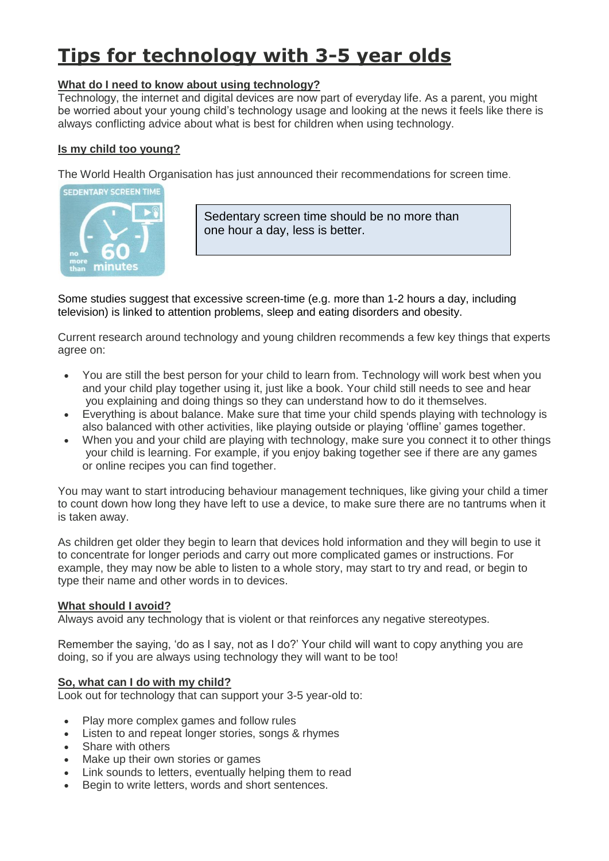# **Tips for technology with 3-5 year olds**

## **What do I need to know about using technology?**

Technology, the internet and digital devices are now part of everyday life. As a parent, you might be worried about your young child's technology usage and looking at the news it feels like there is always conflicting advice about what is best for children when using technology.

### **Is my child too young?**

The World Health Organisation has just announced their recommendations for screen time.



Sedentary screen time should be no more than one hour a day, less is better.

Some studies suggest that excessive screen-time (e.g. more than 1-2 hours a day, including television) is linked to attention problems, sleep and eating disorders and obesity.

Current research around technology and young children recommends a few key things that experts agree on:

- You are still the best person for your child to learn from. Technology will work best when you and your child play together using it, just like a book. Your child still needs to see and hear you explaining and doing things so they can understand how to do it themselves.
- Everything is about balance. Make sure that time your child spends playing with technology is also balanced with other activities, like playing outside or playing 'offline' games together.
- When you and your child are playing with technology, make sure you connect it to other things your child is learning. For example, if you enjoy baking together see if there are any games or online recipes you can find together.

You may want to start introducing behaviour management techniques, like giving your child a timer to count down how long they have left to use a device, to make sure there are no tantrums when it is taken away.

As children get older they begin to learn that devices hold information and they will begin to use it to concentrate for longer periods and carry out more complicated games or instructions. For example, they may now be able to listen to a whole story, may start to try and read, or begin to type their name and other words in to devices.

#### **What should I avoid?**

Always avoid any technology that is violent or that reinforces any negative stereotypes.

Remember the saying, 'do as I say, not as I do?' Your child will want to copy anything you are doing, so if you are always using technology they will want to be too!

#### **So, what can I do with my child?**

Look out for technology that can support your 3-5 year-old to:

- Play more complex games and follow rules
- Listen to and repeat longer stories, songs & rhymes
- Share with others
- Make up their own stories or games
- Link sounds to letters, eventually helping them to read
- Begin to write letters, words and short sentences.